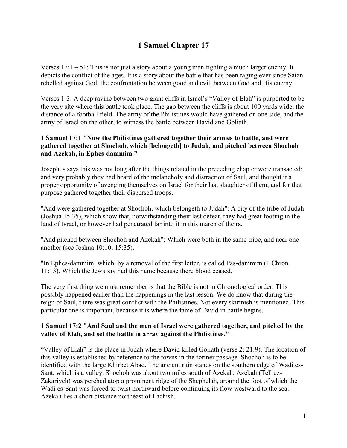# **1 Samuel Chapter 17**

Verses  $17:1 - 51$ : This is not just a story about a young man fighting a much larger enemy. It depicts the conflict of the ages. It is a story about the battle that has been raging ever since Satan rebelled against God, the confrontation between good and evil, between God and His enemy.

Verses 1-3: A deep ravine between two giant cliffs in Israel's "Valley of Elah" is purported to be the very site where this battle took place. The gap between the cliffs is about 100 yards wide, the distance of a football field. The army of the Philistines would have gathered on one side, and the army of Israel on the other, to witness the battle between David and Goliath.

# **1 Samuel 17:1 "Now the Philistines gathered together their armies to battle, and were gathered together at Shochoh, which [belongeth] to Judah, and pitched between Shochoh and Azekah, in Ephes-dammim."**

Josephus says this was not long after the things related in the preceding chapter were transacted; and very probably they had heard of the melancholy and distraction of Saul, and thought it a proper opportunity of avenging themselves on Israel for their last slaughter of them, and for that purpose gathered together their dispersed troops.

"And were gathered together at Shochoh, which belongeth to Judah": A city of the tribe of Judah (Joshua 15:35), which show that, notwithstanding their last defeat, they had great footing in the land of Israel, or however had penetrated far into it in this march of theirs.

"And pitched between Shochoh and Azekah": Which were both in the same tribe, and near one another (see Joshua 10:10; 15:35).

"In Ephes-dammim; which, by a removal of the first letter, is called Pas-dammim (1 Chron. 11:13). Which the Jews say had this name because there blood ceased.

The very first thing we must remember is that the Bible is not in Chronological order. This possibly happened earlier than the happenings in the last lesson. We do know that during the reign of Saul, there was great conflict with the Philistines. Not every skirmish is mentioned. This particular one is important, because it is where the fame of David in battle begins.

#### **1 Samuel 17:2 "And Saul and the men of Israel were gathered together, and pitched by the valley of Elah, and set the battle in array against the Philistines."**

"Valley of Elah" is the place in Judah where David killed Goliath (verse 2; 21:9). The location of this valley is established by reference to the towns in the former passage. Shochoh is to be identified with the large Khirbet Abad. The ancient ruin stands on the southern edge of Wadi es-Sant, which is a valley. Shochoh was about two miles south of Azekah. Azekah (Tell ez-Zakariyeh) was perched atop a prominent ridge of the Shephelah, around the foot of which the Wadi es-Sant was forced to twist northward before continuing its flow westward to the sea. Azekah lies a short distance northeast of Lachish.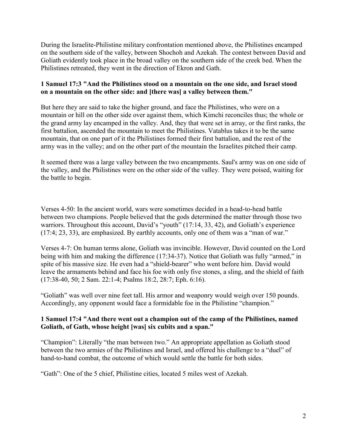During the Israelite-Philistine military confrontation mentioned above, the Philistines encamped on the southern side of the valley, between Shochoh and Azekah. The contest between David and Goliath evidently took place in the broad valley on the southern side of the creek bed. When the Philistines retreated, they went in the direction of Ekron and Gath.

# **1 Samuel 17:3 "And the Philistines stood on a mountain on the one side, and Israel stood on a mountain on the other side: and [there was] a valley between them."**

But here they are said to take the higher ground, and face the Philistines, who were on a mountain or hill on the other side over against them, which Kimchi reconciles thus; the whole or the grand army lay encamped in the valley. And, they that were set in array, or the first ranks, the first battalion, ascended the mountain to meet the Philistines. Vatablus takes it to be the same mountain, that on one part of it the Philistines formed their first battalion, and the rest of the army was in the valley; and on the other part of the mountain the Israelites pitched their camp.

It seemed there was a large valley between the two encampments. Saul's army was on one side of the valley, and the Philistines were on the other side of the valley. They were poised, waiting for the battle to begin.

Verses 4-50: In the ancient world, wars were sometimes decided in a head-to-head battle between two champions. People believed that the gods determined the matter through those two warriors. Throughout this account, David's "youth" (17:14, 33, 42), and Goliath's experience (17:4; 23, 33), are emphasized. By earthly accounts, only one of them was a "man of war."

Verses 4-7: On human terms alone, Goliath was invincible. However, David counted on the Lord being with him and making the difference (17:34-37). Notice that Goliath was fully "armed," in spite of his massive size. He even had a "shield-bearer" who went before him. David would leave the armaments behind and face his foe with only five stones, a sling, and the shield of faith (17:38-40, 50; 2 Sam. 22:1-4; Psalms 18:2, 28:7; Eph. 6:16).

"Goliath" was well over nine feet tall. His armor and weaponry would weigh over 150 pounds. Accordingly, any opponent would face a formidable foe in the Philistine "champion."

# **1 Samuel 17:4 "And there went out a champion out of the camp of the Philistines, named Goliath, of Gath, whose height [was] six cubits and a span."**

"Champion": Literally "the man between two." An appropriate appellation as Goliath stood between the two armies of the Philistines and Israel, and offered his challenge to a "duel" of hand-to-hand combat, the outcome of which would settle the battle for both sides.

"Gath": One of the 5 chief, Philistine cities, located 5 miles west of Azekah.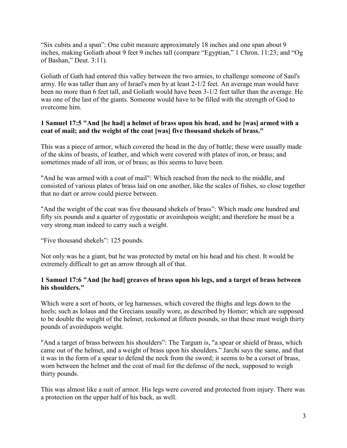"Six cubits and a span": One cubit measure approximately 18 inches and one span about 9 inches, making Goliath about 9 feet 9 inches tall (compare "Egyptian," 1 Chron. 11:23; and "Og of Bashan," Deut. 3:11).

Goliath of Gath had entered this valley between the two armies, to challenge someone of Saul's army. He was taller than any of Israel's men by at least 2-1/2 feet. An average man would have been no more than 6 feet tall, and Goliath would have been 3-1/2 feet taller than the average. He was one of the last of the giants. Someone would have to be filled with the strength of God to overcome him.

# **1 Samuel 17:5 "And [he had] a helmet of brass upon his head, and he [was] armed with a coat of mail; and the weight of the coat [was] five thousand shekels of brass."**

This was a piece of armor, which covered the head in the day of battle; these were usually made of the skins of beasts, of leather, and which were covered with plates of iron, or brass; and sometimes made of all iron, or of brass; as this seems to have been.

"And he was armed with a coat of mail": Which reached from the neck to the middle, and consisted of various plates of brass laid on one another, like the scales of fishes, so close together that no dart or arrow could pierce between.

"And the weight of the coat was five thousand shekels of brass": Which made one hundred and fifty six pounds and a quarter of zygostatic or avoirdupois weight; and therefore he must be a very strong man indeed to carry such a weight.

"Five thousand shekels": 125 pounds.

Not only was he a giant, but he was protected by metal on his head and his chest. It would be extremely difficult to get an arrow through all of that.

# **1 Samuel 17:6 "And [he had] greaves of brass upon his legs, and a target of brass between his shoulders."**

Which were a sort of boots, or leg harnesses, which covered the thighs and legs down to the heels; such as Iolaus and the Grecians usually wore, as described by Homer; which are supposed to be double the weight of the helmet, reckoned at fifteen pounds, so that these must weigh thirty pounds of avoirdupois weight.

"And a target of brass between his shoulders": The Targum is, "a spear or shield of brass, which came out of the helmet, and a weight of brass upon his shoulders." Jarchi says the same, and that it was in the form of a spear to defend the neck from the sword; it seems to be a corset of brass, worn between the helmet and the coat of mail for the defense of the neck, supposed to weigh thirty pounds.

This was almost like a suit of armor. His legs were covered and protected from injury. There was a protection on the upper half of his back, as well.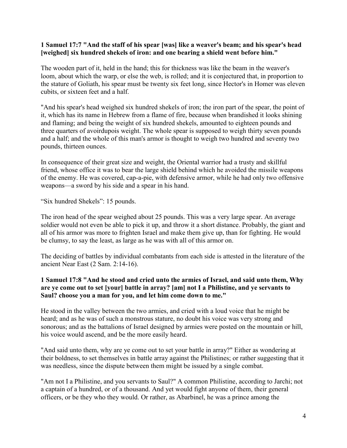#### **1 Samuel 17:7 "And the staff of his spear [was] like a weaver's beam; and his spear's head [weighed] six hundred shekels of iron: and one bearing a shield went before him."**

The wooden part of it, held in the hand; this for thickness was like the beam in the weaver's loom, about which the warp, or else the web, is rolled; and it is conjectured that, in proportion to the stature of Goliath, his spear must be twenty six feet long, since Hector's in Homer was eleven cubits, or sixteen feet and a half.

"And his spear's head weighed six hundred shekels of iron; the iron part of the spear, the point of it, which has its name in Hebrew from a flame of fire, because when brandished it looks shining and flaming; and being the weight of six hundred shekels, amounted to eighteen pounds and three quarters of avoirdupois weight. The whole spear is supposed to weigh thirty seven pounds and a half; and the whole of this man's armor is thought to weigh two hundred and seventy two pounds, thirteen ounces.

In consequence of their great size and weight, the Oriental warrior had a trusty and skillful friend, whose office it was to bear the large shield behind which he avoided the missile weapons of the enemy. He was covered, cap-a-pie, with defensive armor, while he had only two offensive weapons—a sword by his side and a spear in his hand.

"Six hundred Shekels": 15 pounds.

The iron head of the spear weighed about 25 pounds. This was a very large spear. An average soldier would not even be able to pick it up, and throw it a short distance. Probably, the giant and all of his armor was more to frighten Israel and make them give up, than for fighting. He would be clumsy, to say the least, as large as he was with all of this armor on.

The deciding of battles by individual combatants from each side is attested in the literature of the ancient Near East (2 Sam. 2:14-16).

# **1 Samuel 17:8 "And he stood and cried unto the armies of Israel, and said unto them, Why are ye come out to set [your] battle in array? [am] not I a Philistine, and ye servants to Saul? choose you a man for you, and let him come down to me."**

He stood in the valley between the two armies, and cried with a loud voice that he might be heard; and as he was of such a monstrous stature, no doubt his voice was very strong and sonorous; and as the battalions of Israel designed by armies were posted on the mountain or hill, his voice would ascend, and be the more easily heard.

"And said unto them, why are ye come out to set your battle in array?" Either as wondering at their boldness, to set themselves in battle array against the Philistines; or rather suggesting that it was needless, since the dispute between them might be issued by a single combat.

"Am not I a Philistine, and you servants to Saul?" A common Philistine, according to Jarchi; not a captain of a hundred, or of a thousand. And yet would fight anyone of them, their general officers, or be they who they would. Or rather, as Abarbinel, he was a prince among the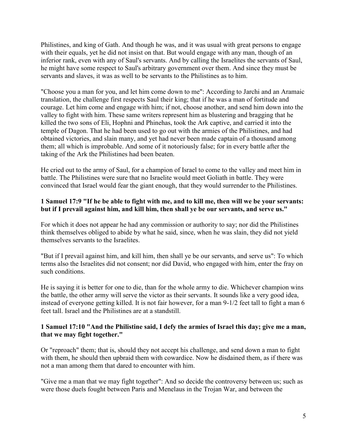Philistines, and king of Gath. And though he was, and it was usual with great persons to engage with their equals, yet he did not insist on that. But would engage with any man, though of an inferior rank, even with any of Saul's servants. And by calling the Israelites the servants of Saul, he might have some respect to Saul's arbitrary government over them. And since they must be servants and slaves, it was as well to be servants to the Philistines as to him.

"Choose you a man for you, and let him come down to me": According to Jarchi and an Aramaic translation, the challenge first respects Saul their king; that if he was a man of fortitude and courage. Let him come and engage with him; if not, choose another, and send him down into the valley to fight with him. These same writers represent him as blustering and bragging that he killed the two sons of Eli, Hophni and Phinehas, took the Ark captive, and carried it into the temple of Dagon. That he had been used to go out with the armies of the Philistines, and had obtained victories, and slain many, and yet had never been made captain of a thousand among them; all which is improbable. And some of it notoriously false; for in every battle after the taking of the Ark the Philistines had been beaten.

He cried out to the army of Saul, for a champion of Israel to come to the valley and meet him in battle. The Philistines were sure that no Israelite would meet Goliath in battle. They were convinced that Israel would fear the giant enough, that they would surrender to the Philistines.

#### **1 Samuel 17:9 "If he be able to fight with me, and to kill me, then will we be your servants: but if I prevail against him, and kill him, then shall ye be our servants, and serve us."**

For which it does not appear he had any commission or authority to say; nor did the Philistines think themselves obliged to abide by what he said, since, when he was slain, they did not yield themselves servants to the Israelites.

"But if I prevail against him, and kill him, then shall ye be our servants, and serve us": To which terms also the Israelites did not consent; nor did David, who engaged with him, enter the fray on such conditions.

He is saying it is better for one to die, than for the whole army to die. Whichever champion wins the battle, the other army will serve the victor as their servants. It sounds like a very good idea, instead of everyone getting killed. It is not fair however, for a man 9-1/2 feet tall to fight a man 6 feet tall. Israel and the Philistines are at a standstill.

# **1 Samuel 17:10 "And the Philistine said, I defy the armies of Israel this day; give me a man, that we may fight together."**

Or "reproach" them; that is, should they not accept his challenge, and send down a man to fight with them, he should then upbraid them with cowardice. Now he disdained them, as if there was not a man among them that dared to encounter with him.

"Give me a man that we may fight together": And so decide the controversy between us; such as were those duels fought between Paris and Menelaus in the Trojan War, and between the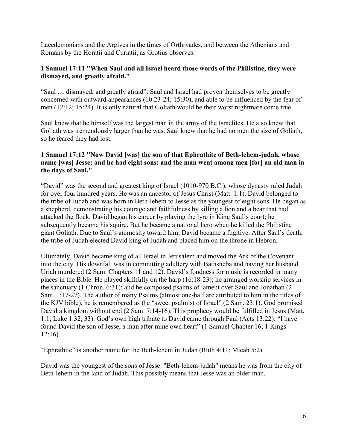Lacedemonians and the Argives in the times of Orthryades, and between the Athenians and Romans by the Horatii and Curiatii, as Grotius observes.

#### **1 Samuel 17:11 "When Saul and all Israel heard those words of the Philistine, they were dismayed, and greatly afraid."**

"Saul … dismayed, and greatly afraid": Saul and Israel had proven themselves to be greatly concerned with outward appearances (10:23-24; 15:30), and able to be influenced by the fear of men (12:12; 15:24). It is only natural that Goliath would be their worst nightmare come true.

Saul knew that he himself was the largest man in the army of the Israelites. He also knew that Goliath was tremendously larger than he was. Saul knew that he had no men the size of Goliath, so he feared they had lost.

#### **1 Samuel 17:12 "Now David [was] the son of that Ephrathite of Beth-lehem-judah, whose name [was] Jesse; and he had eight sons: and the man went among men [for] an old man in the days of Saul."**

"David" was the second and greatest king of Israel (1010-970 B.C.), whose dynasty ruled Judah for over four hundred years. He was an ancestor of Jesus Christ (Matt. 1:1). David belonged to the tribe of Judah and was born in Beth-lehem to Jesse as the youngest of eight sons. He began as a shepherd, demonstrating his courage and faithfulness by killing a lion and a bear that had attacked the flock. David began his career by playing the lyre in King Saul's court; he subsequently became his squire. But he became a national hero when he killed the Philistine giant Goliath. Due to Saul's animosity toward him, David became a fugitive. After Saul's death, the tribe of Judah elected David king of Judah and placed him on the throne in Hebron.

Ultimately, David became king of all Israel in Jerusalem and moved the Ark of the Covenant into the city. His downfall was in committing adultery with Bathsheba and having her husband Uriah murdered (2 Sam. Chapters 11 and 12). David's fondness for music is recorded in many places in the Bible. He played skillfully on the harp (16:18-23); he arranged worship services in the sanctuary (1 Chron. 6:31); and he composed psalms of lament over Saul and Jonathan (2 Sam. 1:17-27). The author of many Psalms (almost one-half are attributed to him in the titles of the KJV bible), he is remembered as the "sweet psalmist of Israel" (2 Sam. 23:1). God promised David a kingdom without end (2 Sam. 7:14-16). This prophecy would be fulfilled in Jesus (Matt. 1:1; Luke 1:32, 33). God's own high tribute to David came through Paul (Acts 13:22): "I have found David the son of Jesse, a man after mine own heart" (1 Samuel Chapter 16; 1 Kings 12:16).

"Ephrathite" is another name for the Beth-lehem in Judah (Ruth 4:11; Micah 5:2).

David was the youngest of the sons of Jesse. "Beth-lehem-judah" means he was from the city of Beth-lehem in the land of Judah. This possibly means that Jesse was an older man.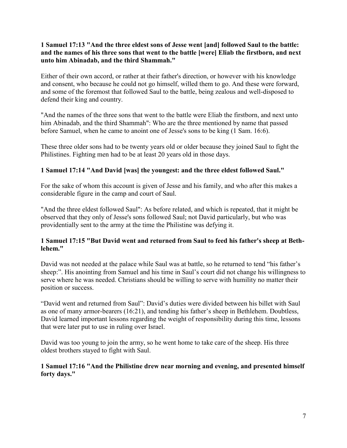# **1 Samuel 17:13 "And the three eldest sons of Jesse went [and] followed Saul to the battle: and the names of his three sons that went to the battle [were] Eliab the firstborn, and next unto him Abinadab, and the third Shammah."**

Either of their own accord, or rather at their father's direction, or however with his knowledge and consent, who because he could not go himself, willed them to go. And these were forward, and some of the foremost that followed Saul to the battle, being zealous and well-disposed to defend their king and country.

"And the names of the three sons that went to the battle were Eliab the firstborn, and next unto him Abinadab, and the third Shammah": Who are the three mentioned by name that passed before Samuel, when he came to anoint one of Jesse's sons to be king (1 Sam. 16:6).

These three older sons had to be twenty years old or older because they joined Saul to fight the Philistines. Fighting men had to be at least 20 years old in those days.

# **1 Samuel 17:14 "And David [was] the youngest: and the three eldest followed Saul."**

For the sake of whom this account is given of Jesse and his family, and who after this makes a considerable figure in the camp and court of Saul.

"And the three eldest followed Saul": As before related, and which is repeated, that it might be observed that they only of Jesse's sons followed Saul; not David particularly, but who was providentially sent to the army at the time the Philistine was defying it.

# **1 Samuel 17:15 "But David went and returned from Saul to feed his father's sheep at Bethlehem."**

David was not needed at the palace while Saul was at battle, so he returned to tend "his father's sheep:". His anointing from Samuel and his time in Saul's court did not change his willingness to serve where he was needed. Christians should be willing to serve with humility no matter their position or success.

"David went and returned from Saul": David's duties were divided between his billet with Saul as one of many armor-bearers (16:21), and tending his father's sheep in Bethlehem. Doubtless, David learned important lessons regarding the weight of responsibility during this time, lessons that were later put to use in ruling over Israel.

David was too young to join the army, so he went home to take care of the sheep. His three oldest brothers stayed to fight with Saul.

# **1 Samuel 17:16 "And the Philistine drew near morning and evening, and presented himself forty days."**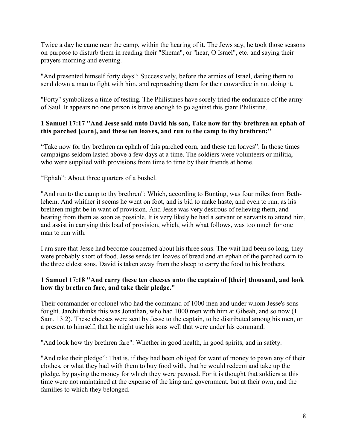Twice a day he came near the camp, within the hearing of it. The Jews say, he took those seasons on purpose to disturb them in reading their "Shema", or "hear, O Israel", etc. and saying their prayers morning and evening.

"And presented himself forty days": Successively, before the armies of Israel, daring them to send down a man to fight with him, and reproaching them for their cowardice in not doing it.

"Forty" symbolizes a time of testing. The Philistines have sorely tried the endurance of the army of Saul. It appears no one person is brave enough to go against this giant Philistine.

# **1 Samuel 17:17 "And Jesse said unto David his son, Take now for thy brethren an ephah of this parched [corn], and these ten loaves, and run to the camp to thy brethren;"**

"Take now for thy brethren an ephah of this parched corn, and these ten loaves": In those times campaigns seldom lasted above a few days at a time. The soldiers were volunteers or militia, who were supplied with provisions from time to time by their friends at home.

"Ephah": About three quarters of a bushel.

"And run to the camp to thy brethren": Which, according to Bunting, was four miles from Bethlehem. And whither it seems he went on foot, and is bid to make haste, and even to run, as his brethren might be in want of provision. And Jesse was very desirous of relieving them, and hearing from them as soon as possible. It is very likely he had a servant or servants to attend him, and assist in carrying this load of provision, which, with what follows, was too much for one man to run with

I am sure that Jesse had become concerned about his three sons. The wait had been so long, they were probably short of food. Jesse sends ten loaves of bread and an ephah of the parched corn to the three eldest sons. David is taken away from the sheep to carry the food to his brothers.

# **1 Samuel 17:18 "And carry these ten cheeses unto the captain of [their] thousand, and look how thy brethren fare, and take their pledge."**

Their commander or colonel who had the command of 1000 men and under whom Jesse's sons fought. Jarchi thinks this was Jonathan, who had 1000 men with him at Gibeah, and so now (1 Sam. 13:2). These cheeses were sent by Jesse to the captain, to be distributed among his men, or a present to himself, that he might use his sons well that were under his command.

"And look how thy brethren fare": Whether in good health, in good spirits, and in safety.

"And take their pledge": That is, if they had been obliged for want of money to pawn any of their clothes, or what they had with them to buy food with, that he would redeem and take up the pledge, by paying the money for which they were pawned. For it is thought that soldiers at this time were not maintained at the expense of the king and government, but at their own, and the families to which they belonged.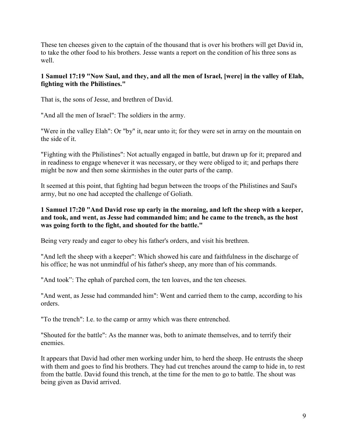These ten cheeses given to the captain of the thousand that is over his brothers will get David in, to take the other food to his brothers. Jesse wants a report on the condition of his three sons as well.

# **1 Samuel 17:19 "Now Saul, and they, and all the men of Israel, [were] in the valley of Elah, fighting with the Philistines."**

That is, the sons of Jesse, and brethren of David.

"And all the men of Israel": The soldiers in the army.

"Were in the valley Elah": Or "by" it, near unto it; for they were set in array on the mountain on the side of it.

"Fighting with the Philistines": Not actually engaged in battle, but drawn up for it; prepared and in readiness to engage whenever it was necessary, or they were obliged to it; and perhaps there might be now and then some skirmishes in the outer parts of the camp.

It seemed at this point, that fighting had begun between the troops of the Philistines and Saul's army, but no one had accepted the challenge of Goliath.

# **1 Samuel 17:20 "And David rose up early in the morning, and left the sheep with a keeper, and took, and went, as Jesse had commanded him; and he came to the trench, as the host was going forth to the fight, and shouted for the battle."**

Being very ready and eager to obey his father's orders, and visit his brethren.

"And left the sheep with a keeper": Which showed his care and faithfulness in the discharge of his office; he was not unmindful of his father's sheep, any more than of his commands.

"And took": The ephah of parched corn, the ten loaves, and the ten cheeses.

"And went, as Jesse had commanded him": Went and carried them to the camp, according to his orders.

"To the trench": I.e. to the camp or army which was there entrenched.

"Shouted for the battle": As the manner was, both to animate themselves, and to terrify their enemies.

It appears that David had other men working under him, to herd the sheep. He entrusts the sheep with them and goes to find his brothers. They had cut trenches around the camp to hide in, to rest from the battle. David found this trench, at the time for the men to go to battle. The shout was being given as David arrived.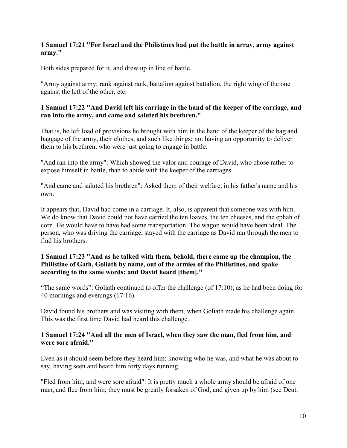#### **1 Samuel 17:21 "For Israel and the Philistines had put the battle in array, army against army."**

Both sides prepared for it, and drew up in line of battle.

"Army against army; rank against rank, battalion against battalion, the right wing of the one against the left of the other, etc.

#### **1 Samuel 17:22 "And David left his carriage in the hand of the keeper of the carriage, and ran into the army, and came and saluted his brethren."**

That is, he left load of provisions he brought with him in the hand of the keeper of the bag and baggage of the army, their clothes, and such like things; not having an opportunity to deliver them to his brethren, who were just going to engage in battle.

"And ran into the army": Which showed the valor and courage of David, who chose rather to expose himself in battle, than to abide with the keeper of the carriages.

"And came and saluted his brethren": Asked them of their welfare, in his father's name and his own.

It appears that, David had come in a carriage. It, also, is apparent that someone was with him. We do know that David could not have carried the ten loaves, the ten cheeses, and the ephah of corn. He would have to have had some transportation. The wagon would have been ideal. The person, who was driving the carriage, stayed with the carriage as David ran through the men to find his brothers.

# **1 Samuel 17:23 "And as he talked with them, behold, there came up the champion, the Philistine of Gath, Goliath by name, out of the armies of the Philistines, and spake according to the same words: and David heard [them]."**

"The same words": Goliath continued to offer the challenge (of 17:10), as he had been doing for 40 mornings and evenings (17:16).

David found his brothers and was visiting with them, when Goliath made his challenge again. This was the first time David had heard this challenge.

#### **1 Samuel 17:24 "And all the men of Israel, when they saw the man, fled from him, and were sore afraid."**

Even as it should seem before they heard him; knowing who he was, and what he was about to say, having seen and heard him forty days running.

"Fled from him, and were sore afraid": It is pretty much a whole army should be afraid of one man, and flee from him; they must be greatly forsaken of God, and given up by him (see Deut.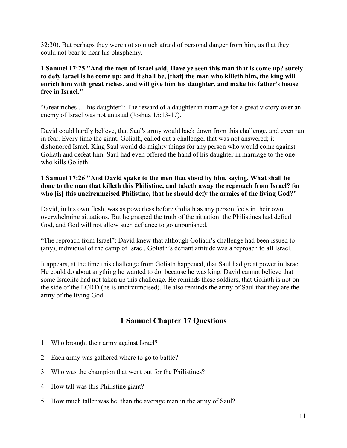32:30). But perhaps they were not so much afraid of personal danger from him, as that they could not bear to hear his blasphemy.

**1 Samuel 17:25 "And the men of Israel said, Have ye seen this man that is come up? surely to defy Israel is he come up: and it shall be, [that] the man who killeth him, the king will enrich him with great riches, and will give him his daughter, and make his father's house free in Israel."**

"Great riches … his daughter": The reward of a daughter in marriage for a great victory over an enemy of Israel was not unusual (Joshua 15:13-17).

David could hardly believe, that Saul's army would back down from this challenge, and even run in fear. Every time the giant, Goliath, called out a challenge, that was not answered; it dishonored Israel. King Saul would do mighty things for any person who would come against Goliath and defeat him. Saul had even offered the hand of his daughter in marriage to the one who kills Goliath.

# **1 Samuel 17:26 "And David spake to the men that stood by him, saying, What shall be done to the man that killeth this Philistine, and taketh away the reproach from Israel? for who [is] this uncircumcised Philistine, that he should defy the armies of the living God?"**

David, in his own flesh, was as powerless before Goliath as any person feels in their own overwhelming situations. But he grasped the truth of the situation: the Philistines had defied God, and God will not allow such defiance to go unpunished.

"The reproach from Israel": David knew that although Goliath's challenge had been issued to (any), individual of the camp of Israel, Goliath's defiant attitude was a reproach to all Israel.

It appears, at the time this challenge from Goliath happened, that Saul had great power in Israel. He could do about anything he wanted to do, because he was king. David cannot believe that some Israelite had not taken up this challenge. He reminds these soldiers, that Goliath is not on the side of the LORD (he is uncircumcised). He also reminds the army of Saul that they are the army of the living God.

# **1 Samuel Chapter 17 Questions**

- 1. Who brought their army against Israel?
- 2. Each army was gathered where to go to battle?
- 3. Who was the champion that went out for the Philistines?
- 4. How tall was this Philistine giant?
- 5. How much taller was he, than the average man in the army of Saul?